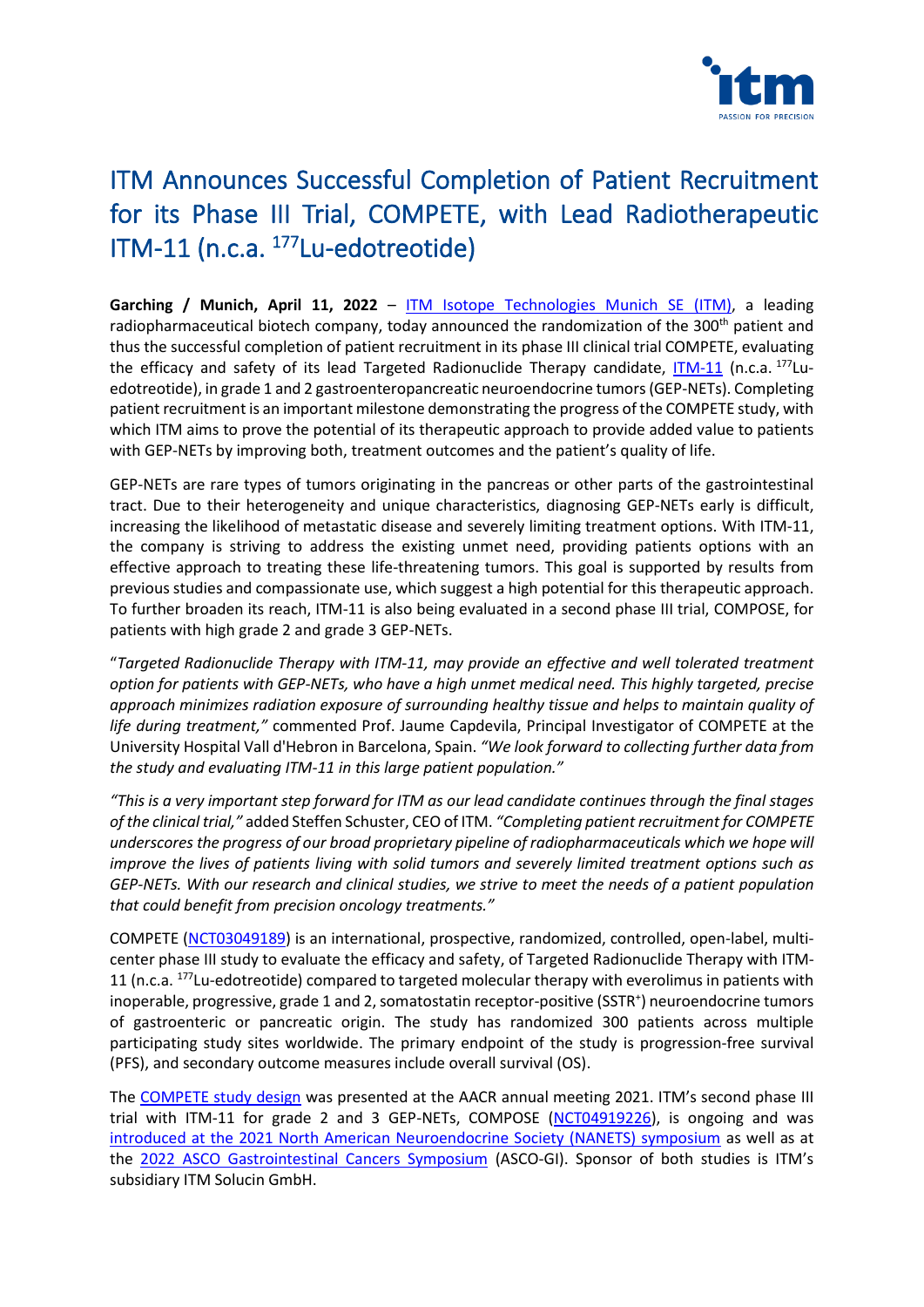

# ITM Announces Successful Completion of Patient Recruitment for its Phase III Trial, COMPETE, with Lead Radiotherapeutic ITM-11 (n.c.a. <sup>177</sup>Lu-edotreotide)

Garching / Munich, April 11, 2022 - **[ITM Isotope Technologies Munich SE](https://itm-radiopharma.com/home)** (ITM), a leading radiopharmaceutical biotech company, today announced the randomization of the 300<sup>th</sup> patient and thus the successful completion of patient recruitment in its phase III clinical trial COMPETE, evaluating the efficacy and safety of its lead Targeted Radionuclide Therapy candidate, [ITM-11](https://itm-radiopharma.com/pipeline/neuroendocrine-tumors-gep-nets) (n.c.a. 177Luedotreotide), in grade 1 and 2 gastroenteropancreatic neuroendocrine tumors (GEP-NETs). Completing patient recruitment is an important milestone demonstrating the progress of the COMPETE study, with which ITM aims to prove the potential of its therapeutic approach to provide added value to patients with GEP-NETs by improving both, treatment outcomes and the patient's quality of life.

GEP-NETs are rare types of tumors originating in the pancreas or other parts of the gastrointestinal tract. Due to their heterogeneity and unique characteristics, diagnosing GEP-NETs early is difficult, increasing the likelihood of metastatic disease and severely limiting treatment options. With ITM-11, the company is striving to address the existing unmet need, providing patients options with an effective approach to treating these life-threatening tumors. This goal is supported by results from previous studies and compassionate use, which suggest a high potential for this therapeutic approach. To further broaden its reach, ITM-11 is also being evaluated in a second phase III trial, COMPOSE, for patients with high grade 2 and grade 3 GEP-NETs.

"*Targeted Radionuclide Therapy with ITM-11, may provide an effective and well tolerated treatment option for patients with GEP-NETs, who have a high unmet medical need. This highly targeted, precise approach minimizes radiation exposure of surrounding healthy tissue and helps to maintain quality of life during treatment,"* commented Prof. Jaume Capdevila, Principal Investigator of COMPETE at the University Hospital Vall d'Hebron in Barcelona, Spain. *"We look forward to collecting further data from the study and evaluating ITM-11 in this large patient population."*

*"This is a very important step forward for ITM as our lead candidate continues through the final stages of the clinical trial,"* added Steffen Schuster, CEO of ITM. *"Completing patient recruitment for COMPETE underscores the progress of our broad proprietary pipeline of radiopharmaceuticals which we hope will improve the lives of patients living with solid tumors and severely limited treatment options such as GEP-NETs. With our research and clinical studies, we strive to meet the needs of a patient population that could benefit from precision oncology treatments."*

COMPETE [\(NCT03049189\)](https://clinicaltrials.gov/ct2/show/NCT03049189) is an international, prospective, randomized, controlled, open-label, multicenter phase III study to evaluate the efficacy and safety, of Targeted Radionuclide Therapy with ITM-11 (n.c.a.  $177$ Lu-edotreotide) compared to targeted molecular therapy with everolimus in patients with inoperable, progressive, grade 1 and 2, somatostatin receptor-positive (SSTR<sup>+</sup>) neuroendocrine tumors of gastroenteric or pancreatic origin. The study has randomized 300 patients across multiple participating study sites worldwide. The primary endpoint of the study is progression-free survival (PFS), and secondary outcome measures include overall survival (OS).

The [COMPETE study design](https://www.businesswire.com/news/home/20210410005007/en/ITM-Presents-Design-for-Ongoing-Phase-III-COMPETE-Trial-with-n.c.a.-177Lu-Edotreotide-at-AACR-Annual-Meeting-2021) was presented at the AACR annual meeting 2021. ITM's second phase III trial with ITM-11 for grade 2 and 3 GEP-NETs, COMPOSE [\(NCT04919226\)](https://clinicaltrials.gov/ct2/show/NCT04919226?term=compose&draw=2&rank=1), is ongoing and was [introduced at the 2021 North American Neuroendocrine Society \(NANETS\) symposium](https://itm-radiopharma.com/news/press-releases/press-releases-detail/itm-introduces-second-phase-iii-trial-compose-with-nca-177lu-edotreotide-for-neuroendocrine-tumors-at-nanets-annual-symposium-2021-2-1-331) as well as at the [2022 ASCO Gastrointestinal Cancers Symposium](https://itm-radiopharma.com/news/press-releases/press-releases-detail/itm-presents-study-design-of-compose-phase-iii-trial-with-itm-11-nca-177lu-edotreotide-for-treatment-of-neuroendocrine-tumors-at-asco-gi-1-1-1-356) (ASCO-GI). Sponsor of both studies is ITM's subsidiary ITM Solucin GmbH.